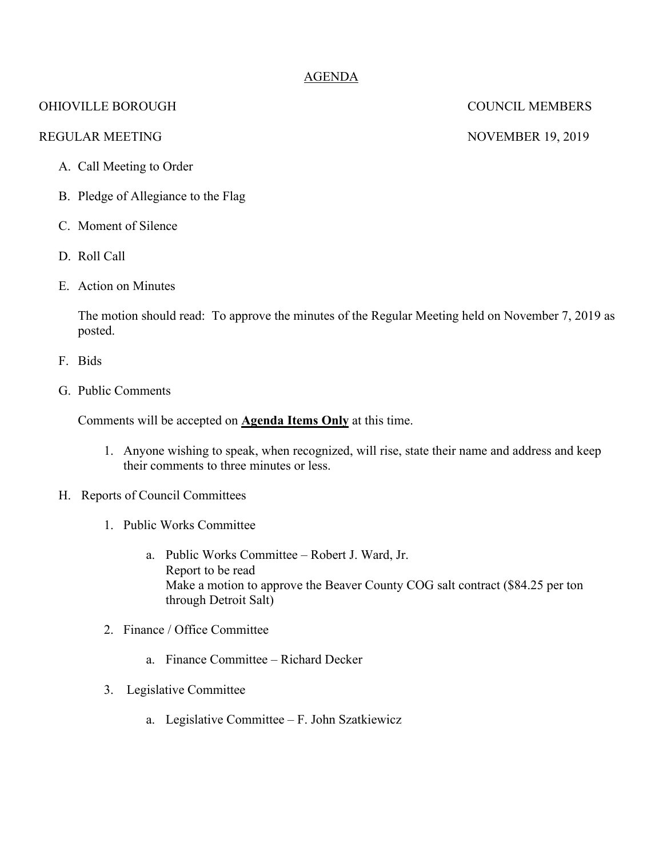# AGENDA

## OHIOVILLE BOROUGH COUNCIL MEMBERS

### REGULAR MEETING NOVEMBER 19, 2019

## A. Call Meeting to Order

- B. Pledge of Allegiance to the Flag
- C. Moment of Silence
- D. Roll Call
- E. Action on Minutes

The motion should read: To approve the minutes of the Regular Meeting held on November 7, 2019 as posted.

- F. Bids
- G. Public Comments

Comments will be accepted on **Agenda Items Only** at this time.

- 1. Anyone wishing to speak, when recognized, will rise, state their name and address and keep their comments to three minutes or less.
- H. Reports of Council Committees
	- 1. Public Works Committee
		- a. Public Works Committee Robert J. Ward, Jr. Report to be read Make a motion to approve the Beaver County COG salt contract (\$84.25 per ton through Detroit Salt)
	- 2. Finance / Office Committee
		- a. Finance Committee Richard Decker
	- 3. Legislative Committee
		- a. Legislative Committee F. John Szatkiewicz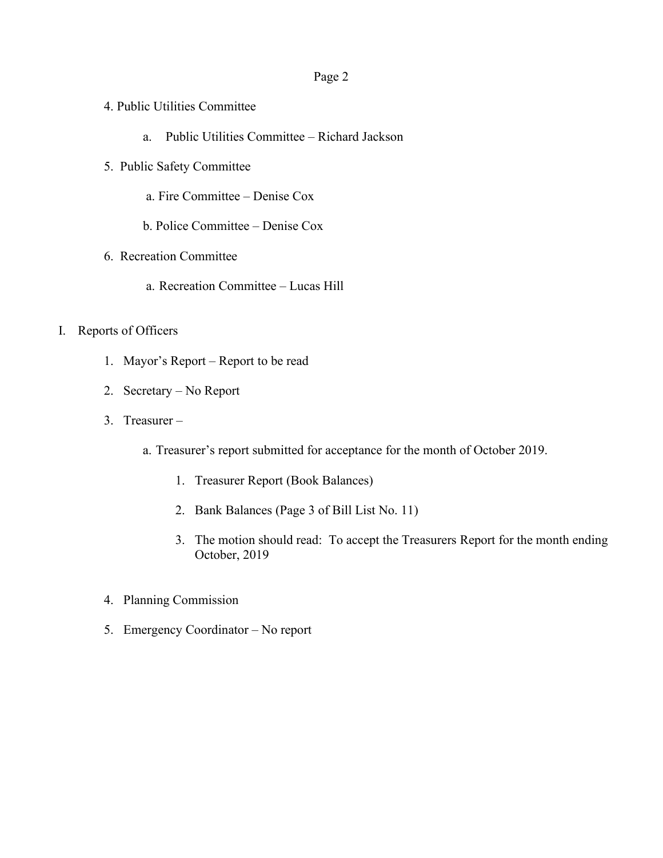#### Page 2

- 4. Public Utilities Committee
	- a. Public Utilities Committee Richard Jackson
- 5. Public Safety Committee
	- a. Fire Committee Denise Cox
	- b. Police Committee Denise Cox
- 6. Recreation Committee
	- a. Recreation Committee Lucas Hill
- I. Reports of Officers
	- 1. Mayor's Report Report to be read
	- 2. Secretary No Report
	- 3. Treasurer
		- a. Treasurer's report submitted for acceptance for the month of October 2019.
			- 1. Treasurer Report (Book Balances)
			- 2. Bank Balances (Page 3 of Bill List No. 11)
			- 3. The motion should read: To accept the Treasurers Report for the month ending October, 2019
	- 4. Planning Commission
	- 5. Emergency Coordinator No report